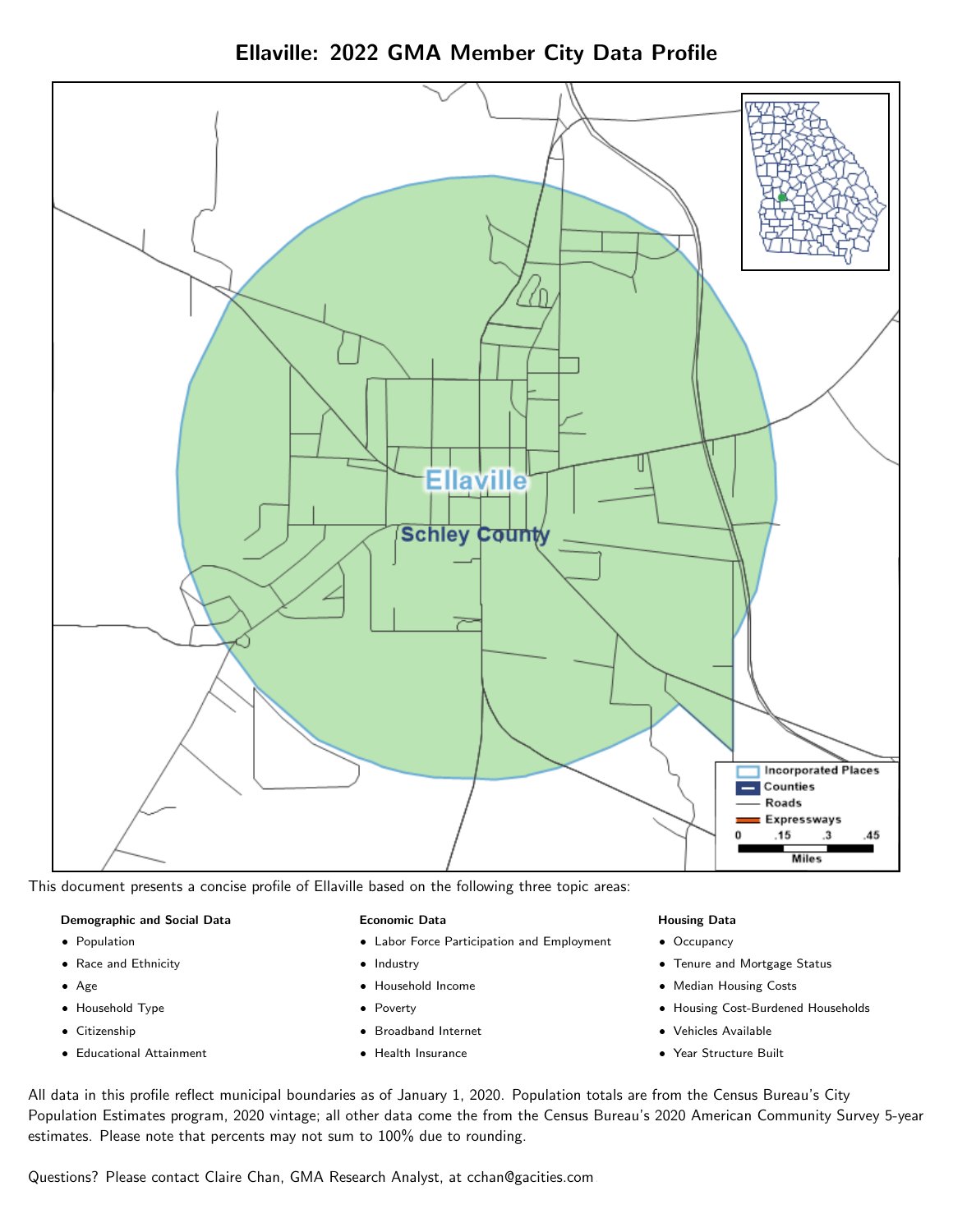

Ellaville: 2022 GMA Member City Data Profile

This document presents a concise profile of Ellaville based on the following three topic areas:

# Demographic and Social Data

- **•** Population
- Race and Ethnicity
- Age
- Household Type
- **Citizenship**
- Educational Attainment

## Economic Data

- Labor Force Participation and Employment
- Industry
- Household Income
- Poverty
- Broadband Internet
- Health Insurance

#### Housing Data

- Occupancy
- Tenure and Mortgage Status
- Median Housing Costs
- Housing Cost-Burdened Households
- Vehicles Available
- Year Structure Built

All data in this profile reflect municipal boundaries as of January 1, 2020. Population totals are from the Census Bureau's City Population Estimates program, 2020 vintage; all other data come the from the Census Bureau's 2020 American Community Survey 5-year estimates. Please note that percents may not sum to 100% due to rounding.

Questions? Please contact Claire Chan, GMA Research Analyst, at [cchan@gacities.com.](mailto:cchan@gacities.com)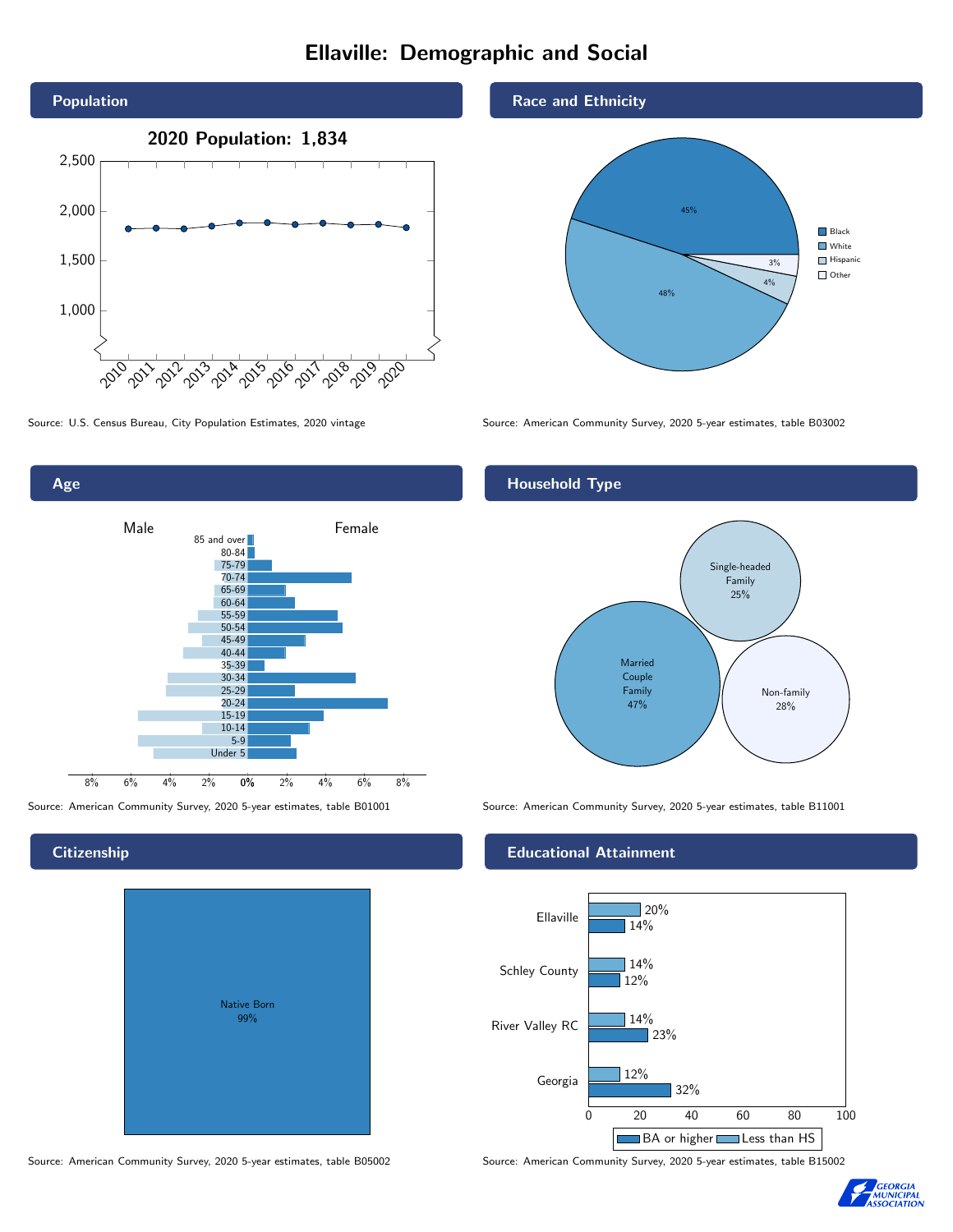# Ellaville: Demographic and Social





# **Citizenship**

| Native Born<br>99% |  |
|--------------------|--|

Source: American Community Survey, 2020 5-year estimates, table B05002 Source: American Community Survey, 2020 5-year estimates, table B15002

# Race and Ethnicity



Source: U.S. Census Bureau, City Population Estimates, 2020 vintage Source: American Community Survey, 2020 5-year estimates, table B03002

# Household Type



Source: American Community Survey, 2020 5-year estimates, table B01001 Source: American Community Survey, 2020 5-year estimates, table B11001

## Educational Attainment



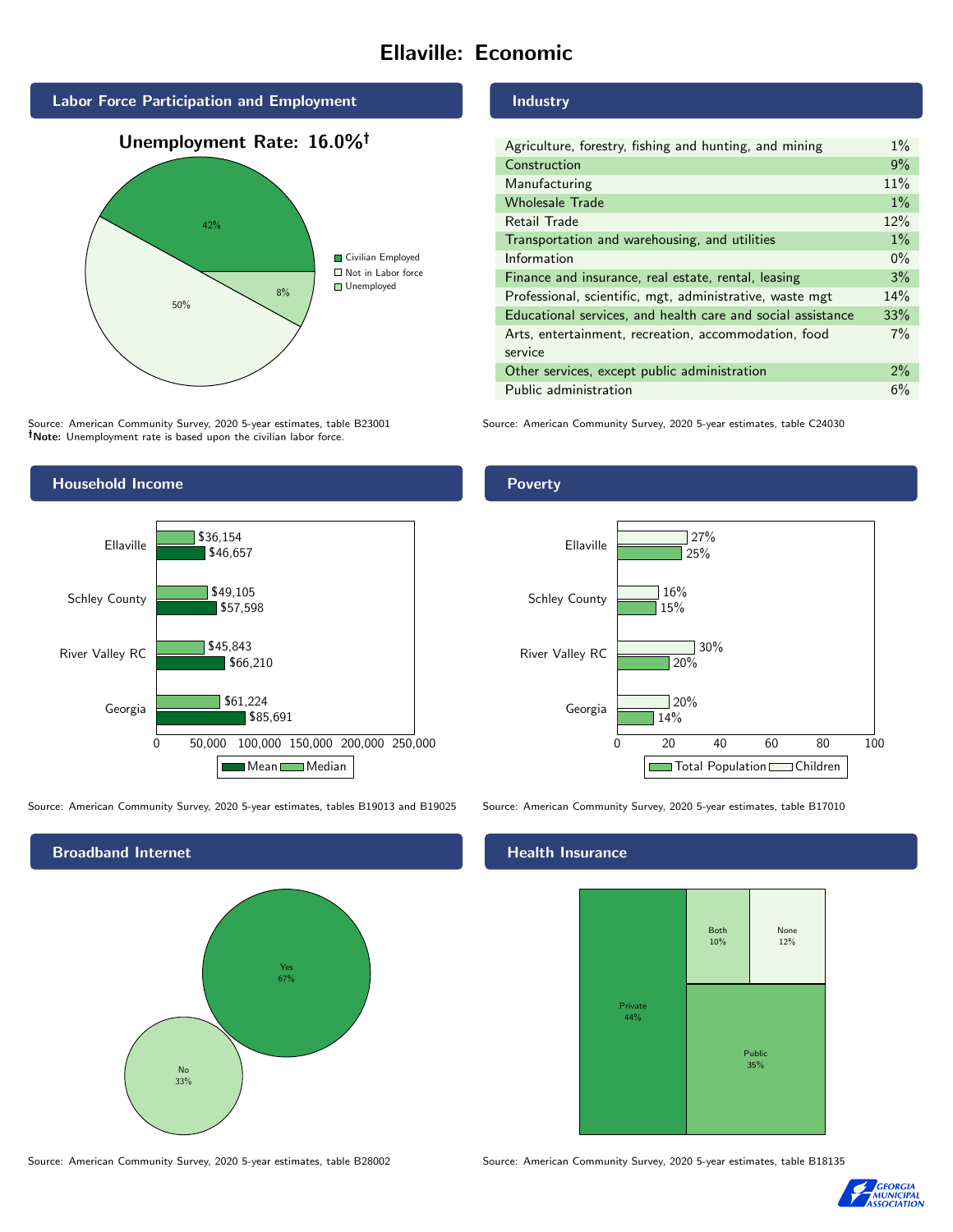# Ellaville: Economic





Source: American Community Survey, 2020 5-year estimates, table B23001 Note: Unemployment rate is based upon the civilian labor force.



| Agriculture, forestry, fishing and hunting, and mining      | $1\%$ |
|-------------------------------------------------------------|-------|
| Construction                                                |       |
| Manufacturing                                               |       |
| <b>Wholesale Trade</b>                                      | $1\%$ |
| Retail Trade                                                | 12%   |
| Transportation and warehousing, and utilities               |       |
| Information                                                 | $0\%$ |
| Finance and insurance, real estate, rental, leasing         |       |
| Professional, scientific, mgt, administrative, waste mgt    |       |
| Educational services, and health care and social assistance |       |
| Arts, entertainment, recreation, accommodation, food        |       |
| service                                                     |       |
| Other services, except public administration                |       |
| Public administration                                       |       |

Source: American Community Survey, 2020 5-year estimates, table C24030



#### Source: American Community Survey, 2020 5-year estimates, tables B19013 and B19025 Source: American Community Survey, 2020 5-year estimates, table B17010



Source: American Community Survey, 2020 5-year estimates, table B28002 Source: American Community Survey, 2020 5-year estimates, table B18135

14%

 $\overline{120\%}$ 

30%

 $720%$ 

15%

16%

25%

 $727%$ 

# **Health Insurance**



0 20 40 60 80 100

Total Population Children